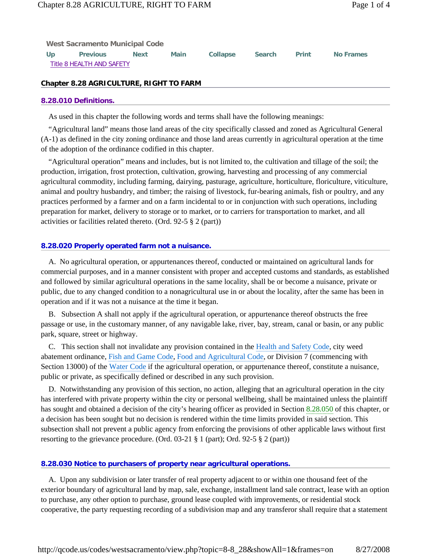| <b>West Sacramento Municipal Code</b> |                 |             |      |                 |               |       |           |  |
|---------------------------------------|-----------------|-------------|------|-----------------|---------------|-------|-----------|--|
| Up                                    | <b>Previous</b> | <b>Next</b> | Main | <b>Collapse</b> | <b>Search</b> | Print | No Frames |  |
| Title 8 HEALTH AND SAFETY             |                 |             |      |                 |               |       |           |  |

## **Chapter 8.28 AGRICULTURE, RIGHT TO FARM**

#### **8.28.010 Definitions.**

As used in this chapter the following words and terms shall have the following meanings:

 "Agricultural land" means those land areas of the city specifically classed and zoned as Agricultural General (A-1) as defined in the city zoning ordinance and those land areas currently in agricultural operation at the time of the adoption of the ordinance codified in this chapter.

 "Agricultural operation" means and includes, but is not limited to, the cultivation and tillage of the soil; the production, irrigation, frost protection, cultivation, growing, harvesting and processing of any commercial agricultural commodity, including farming, dairying, pasturage, agriculture, horticulture, floriculture, viticulture, animal and poultry husbandry, and timber; the raising of livestock, fur-bearing animals, fish or poultry, and any practices performed by a farmer and on a farm incidental to or in conjunction with such operations, including preparation for market, delivery to storage or to market, or to carriers for transportation to market, and all activities or facilities related thereto. (Ord. 92-5 § 2 (part))

### **8.28.020 Properly operated farm not a nuisance.**

 A. No agricultural operation, or appurtenances thereof, conducted or maintained on agricultural lands for commercial purposes, and in a manner consistent with proper and accepted customs and standards, as established and followed by similar agricultural operations in the same locality, shall be or become a nuisance, private or public, due to any changed condition to a nonagricultural use in or about the locality, after the same has been in operation and if it was not a nuisance at the time it began.

 B. Subsection A shall not apply if the agricultural operation, or appurtenance thereof obstructs the free passage or use, in the customary manner, of any navigable lake, river, bay, stream, canal or basin, or any public park, square, street or highway.

 C. This section shall not invalidate any provision contained in the Health and Safety Code, city weed abatement ordinance, Fish and Game Code, Food and Agricultural Code, or Division 7 (commencing with Section 13000) of the Water Code if the agricultural operation, or appurtenance thereof, constitute a nuisance, public or private, as specifically defined or described in any such provision.

 D. Notwithstanding any provision of this section, no action, alleging that an agricultural operation in the city has interfered with private property within the city or personal wellbeing, shall be maintained unless the plaintiff has sought and obtained a decision of the city's hearing officer as provided in Section 8.28.050 of this chapter, or a decision has been sought but no decision is rendered within the time limits provided in said section. This subsection shall not prevent a public agency from enforcing the provisions of other applicable laws without first resorting to the grievance procedure. (Ord. 03-21 § 1 (part); Ord. 92-5 § 2 (part))

#### **8.28.030 Notice to purchasers of property near agricultural operations.**

 A. Upon any subdivision or later transfer of real property adjacent to or within one thousand feet of the exterior boundary of agricultural land by map, sale, exchange, installment land sale contract, lease with an option to purchase, any other option to purchase, ground lease coupled with improvements, or residential stock cooperative, the party requesting recording of a subdivision map and any transferor shall require that a statement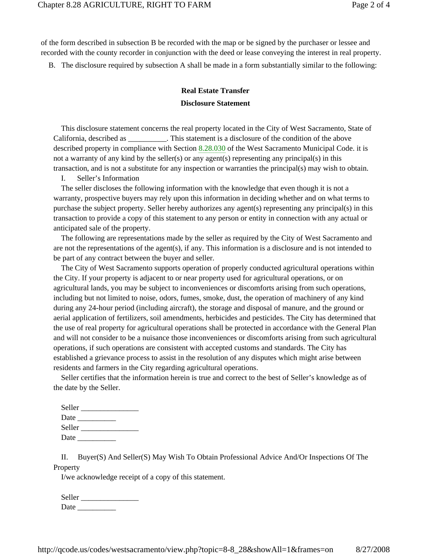of the form described in subsection B be recorded with the map or be signed by the purchaser or lessee and recorded with the county recorder in conjunction with the deed or lease conveying the interest in real property.

B. The disclosure required by subsection A shall be made in a form substantially similar to the following:

# **Real Estate Transfer Disclosure Statement**

 This disclosure statement concerns the real property located in the City of West Sacramento, State of California, described as \_\_\_\_\_\_\_\_\_\_. This statement is a disclosure of the condition of the above described property in compliance with Section 8.28.030 of the West Sacramento Municipal Code. it is not a warranty of any kind by the seller(s) or any agent(s) representing any principal(s) in this transaction, and is not a substitute for any inspection or warranties the principal(s) may wish to obtain.

I. Seller's Information

 The seller discloses the following information with the knowledge that even though it is not a warranty, prospective buyers may rely upon this information in deciding whether and on what terms to purchase the subject property. Seller hereby authorizes any agent(s) representing any principal(s) in this transaction to provide a copy of this statement to any person or entity in connection with any actual or anticipated sale of the property.

 The following are representations made by the seller as required by the City of West Sacramento and are not the representations of the agent(s), if any. This information is a disclosure and is not intended to be part of any contract between the buyer and seller.

 The City of West Sacramento supports operation of properly conducted agricultural operations within the City. If your property is adjacent to or near property used for agricultural operations, or on agricultural lands, you may be subject to inconveniences or discomforts arising from such operations, including but not limited to noise, odors, fumes, smoke, dust, the operation of machinery of any kind during any 24-hour period (including aircraft), the storage and disposal of manure, and the ground or aerial application of fertilizers, soil amendments, herbicides and pesticides. The City has determined that the use of real property for agricultural operations shall be protected in accordance with the General Plan and will not consider to be a nuisance those inconveniences or discomforts arising from such agricultural operations, if such operations are consistent with accepted customs and standards. The City has established a grievance process to assist in the resolution of any disputes which might arise between residents and farmers in the City regarding agricultural operations.

 Seller certifies that the information herein is true and correct to the best of Seller's knowledge as of the date by the Seller.

| Seller |  |
|--------|--|
| Date   |  |
| Seller |  |
| Date   |  |

 II. Buyer(S) And Seller(S) May Wish To Obtain Professional Advice And/Or Inspections Of The Property

I/we acknowledge receipt of a copy of this statement.

| Seller |  |
|--------|--|
| Date   |  |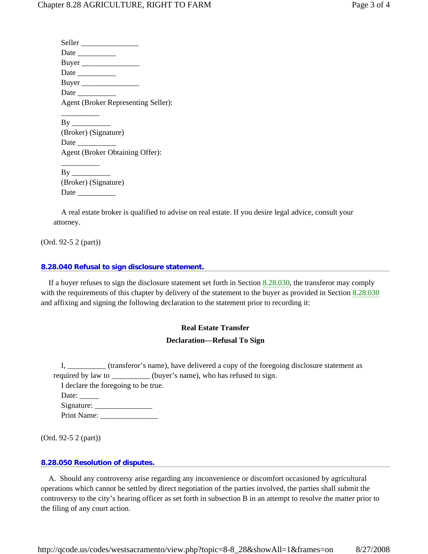Seller Date \_\_\_\_\_\_\_\_\_\_ Buyer \_\_\_\_\_\_\_\_\_\_\_\_\_\_\_ Date \_\_\_\_\_\_\_\_\_\_ Buyer \_\_\_\_\_\_\_\_\_\_\_\_\_\_\_ Date  $\Box$  Agent (Broker Representing Seller):  $\overline{\phantom{a}}$   $\overline{\phantom{a}}$   $\overline{\phantom{a}}$   $\overline{\phantom{a}}$   $\overline{\phantom{a}}$   $\overline{\phantom{a}}$   $\overline{\phantom{a}}$   $\overline{\phantom{a}}$   $\overline{\phantom{a}}$   $\overline{\phantom{a}}$   $\overline{\phantom{a}}$   $\overline{\phantom{a}}$   $\overline{\phantom{a}}$   $\overline{\phantom{a}}$   $\overline{\phantom{a}}$   $\overline{\phantom{a}}$   $\overline{\phantom{a}}$   $\overline{\phantom{a}}$   $\overline{\$  $By$  (Broker) (Signature) Date  $\_\_$ Agent (Broker Obtaining Offer):

 $\overline{\phantom{a}}$   $\overline{\phantom{a}}$   $\overline{\phantom{a}}$   $\overline{\phantom{a}}$   $\overline{\phantom{a}}$   $\overline{\phantom{a}}$   $\overline{\phantom{a}}$   $\overline{\phantom{a}}$   $\overline{\phantom{a}}$   $\overline{\phantom{a}}$   $\overline{\phantom{a}}$   $\overline{\phantom{a}}$   $\overline{\phantom{a}}$   $\overline{\phantom{a}}$   $\overline{\phantom{a}}$   $\overline{\phantom{a}}$   $\overline{\phantom{a}}$   $\overline{\phantom{a}}$   $\overline{\$  $By$  (Broker) (Signature) Date \_\_\_\_\_\_\_\_\_\_

 A real estate broker is qualified to advise on real estate. If you desire legal advice, consult your attorney.

(Ord. 92-5 2 (part))

#### **8.28.040 Refusal to sign disclosure statement.**

 If a buyer refuses to sign the disclosure statement set forth in Section 8.28.030, the transferor may comply with the requirements of this chapter by delivery of the statement to the buyer as provided in Section 8.28.030 and affixing and signing the following declaration to the statement prior to recording it:

#### **Real Estate Transfer**

#### **Declaration—Refusal To Sign**

 I, \_\_\_\_\_\_\_\_\_\_ (transferor's name), have delivered a copy of the foregoing disclosure statement as required by law to \_\_\_\_\_\_\_\_\_\_ (buyer's name), who has refused to sign. I declare the foregoing to be true. Date:  $\_\_$  Signature: \_\_\_\_\_\_\_\_\_\_\_\_\_\_\_ Print Name: \_\_\_\_\_\_\_\_\_\_\_\_\_\_\_

(Ord. 92-5 2 (part))

#### **8.28.050 Resolution of disputes.**

 A. Should any controversy arise regarding any inconvenience or discomfort occasioned by agricultural operations which cannot be settled by direct negotiation of the parties involved, the parties shall submit the controversy to the city's hearing officer as set forth in subsection B in an attempt to resolve the matter prior to the filing of any court action.

http://qcode.us/codes/westsacramento/view.php?topic=8-8\_28&showAll=1&frames=on 8/27/2008